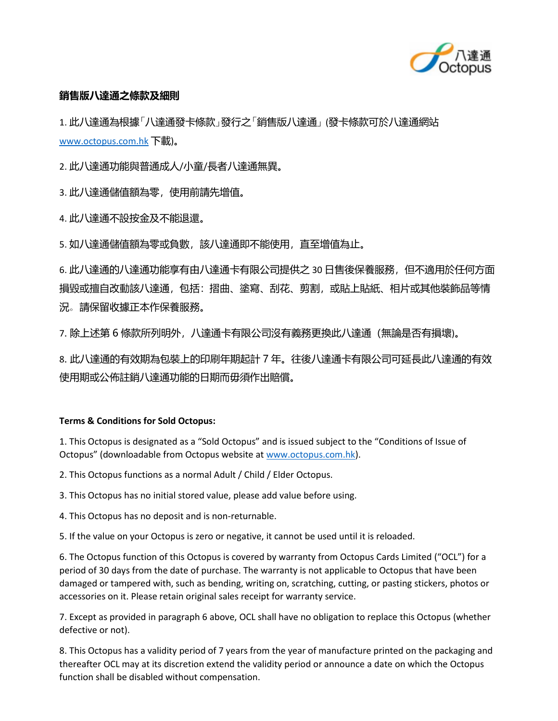

## **銷售版八達通之條款及細則**

1. 此八達通為根據「八達通發卡條款」發行之「銷售版八達通」 (發卡條款可於八達通網站 [www.octopus.com.hk](http://www.octopus.com.hk/) 下載)。

2. 此八達通功能與普通成人/小童/長者八達通無異。

3. 此八達通儲值額為零, 使用前請先增值。

4. 此八達通不設按金及不能退還。

5.如八達通儲值額為零或負數,該八達通即不能使用,直至增值為止。

6. 此八達通的八達通功能享有由八達通卡有限公司提供之 30 日售後保養服務,但不適用於任何方面 損毀或擅自改動該八達通,包括:摺曲、塗寫、刮花、剪割,或貼上貼紙、相片或其他裝飾品等情 況。請保留收據正本作保養服務。

7. 除上述第 6 條款所列明外,八達通卡有限公司沒有義務更換此八達通(無論是否有損壞)。

8. 此八達通的有效期為包裝上的印刷年期起計 7 年。往後八達通卡有限公司可延長此八達通的有效 使用期或公佈註銷八達通功能的日期而毋須作出賠償。

## **Terms & Conditions for Sold Octopus:**

1. This Octopus is designated as a "Sold Octopus" and is issued subject to the "Conditions of Issue of Octopus" (downloadable from Octopus website at [www.octopus.com.hk\)](http://www.octopus.com.hk/).

2. This Octopus functions as a normal Adult / Child / Elder Octopus.

3. This Octopus has no initial stored value, please add value before using.

4. This Octopus has no deposit and is non-returnable.

5. If the value on your Octopus is zero or negative, it cannot be used until it is reloaded.

6. The Octopus function of this Octopus is covered by warranty from Octopus Cards Limited ("OCL") for a period of 30 days from the date of purchase. The warranty is not applicable to Octopus that have been damaged or tampered with, such as bending, writing on, scratching, cutting, or pasting stickers, photos or accessories on it. Please retain original sales receipt for warranty service.

7. Except as provided in paragraph 6 above, OCL shall have no obligation to replace this Octopus (whether defective or not).

8. This Octopus has a validity period of 7 years from the year of manufacture printed on the packaging and thereafter OCL may at its discretion extend the validity period or announce a date on which the Octopus function shall be disabled without compensation.